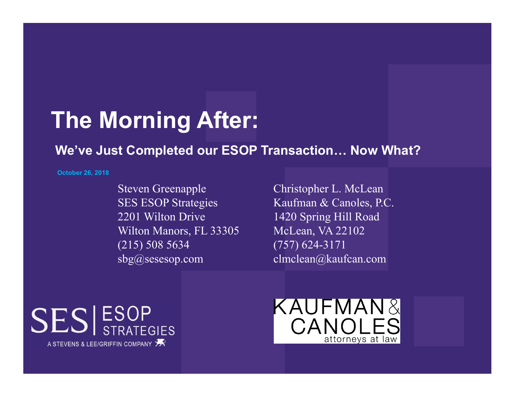## **The Morning After:**

### **We've Just Completed our ESOP Transaction… Now What?**

**October 26, 2018** 

Steven Greenapple SES ESOP Strategies 2201 Wilton DriveWilton Manors, FL 33305 (215) 508 5634 sbg@sesesop.com

Christopher L. McLean Kaufman & Canoles, P.C. 1420 Spring Hill Road McLean, VA 22102 (757) 624-3171 clmclean@kaufcan.com



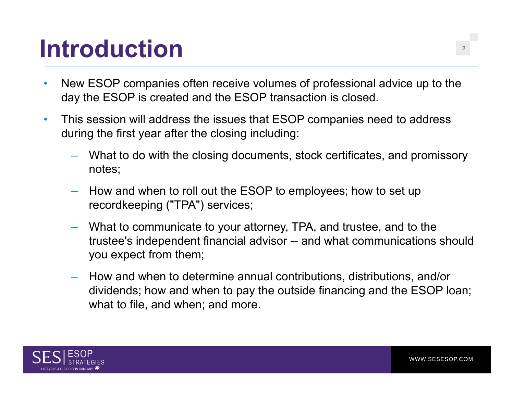## **Introduction**

- • New ESOP companies often receive volumes of professional advice up to the day the ESOP is created and the ESOP transaction is closed.
- $\bullet$  This session will address the issues that ESOP companies need to address during the first year after the closing including:
	- What to do with the closing documents, stock certificates, and promissory notes;
	- How and when to roll out the ESOP to employees; how to set up recordkeeping ("TPA") services;
	- What to communicate to your attorney, TPA, and trustee, and to the trustee's independent financial advisor -- and what communications should you expect from them;
	- How and when to determine annual contributions, distributions, and/or dividends; how and when to pay the outside financing and the ESOP loan; what to file, and when; and more.

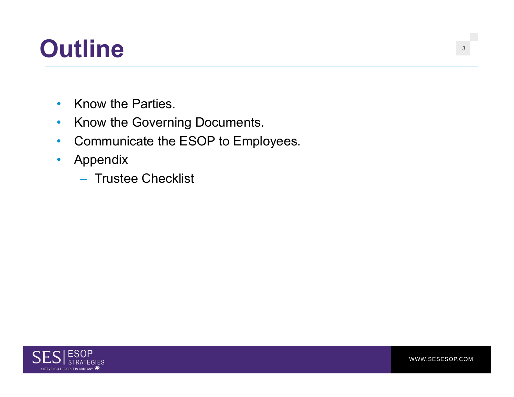### **Outline**<sup>3</sup>

- •Know the Parties.
- $\bullet$ Know the Governing Documents.
- $\bullet$ Communicate the ESOP to Employees.
- $\bullet$  Appendix
	- Trustee Checklist

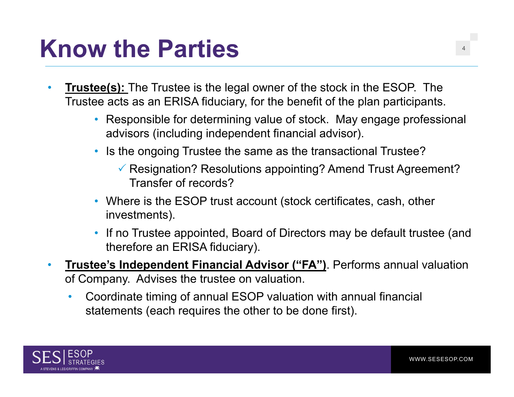#### **Know the Parties** $\mathbf S$

- • **Trustee(s):** The Trustee is the legal owner of the stock in the ESOP. The Trustee acts as an ERISA fiduciary, for the benefit of the plan participants.
	- Responsible for determining value of stock. May engage professional advisors (including independent financial advisor).
	- Is the ongoing Trustee the same as the transactional Trustee?
		- $\checkmark$  Resignation? Resolutions appointing? Amend Trust Agreement? Transfer of records?
	- Where is the ESOP trust account (stock certificates, cash, other investments).
	- If no Trustee appointed, Board of Directors may be default trustee (and therefore an ERISA fiduciary).
- • **Trustee's Independent Financial Advisor ("FA")**. Performs annual valuation of Company. Advises the trustee on valuation.
	- $\bullet$  Coordinate timing of annual ESOP valuation with annual financial statements (each requires the other to be done first).

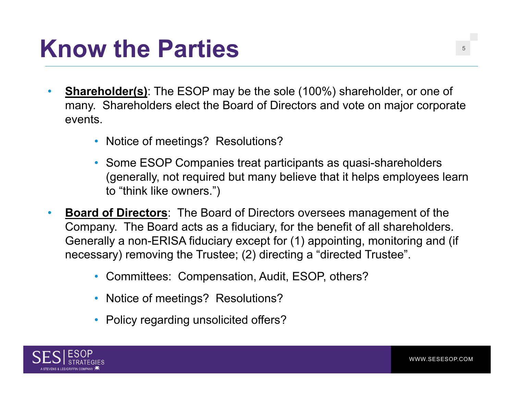#### **Know the Parties** $\mathbf{S}$  , the set of  $\mathbf{S}$  , the set of  $\mathbf{S}$

- • **Shareholder(s)**: The ESOP may be the sole (100%) shareholder, or one of many. Shareholders elect the Board of Directors and vote on major corporate events.
	- Notice of meetings? Resolutions?
	- Some ESOP Companies treat participants as quasi-shareholders (generally, not required but many believe that it helps employees learn to "think like owners.")
- • **Board of Directors**: The Board of Directors oversees management of the Company. The Board acts as a fiduciary, for the benefit of all shareholders. Generally a non-ERISA fiduciary except for (1) appointing, monitoring and (if necessary) removing the Trustee; (2) directing a "directed Trustee".
	- Committees: Compensation, Audit, ESOP, others?
	- Notice of meetings? Resolutions?
	- Policy regarding unsolicited offers?

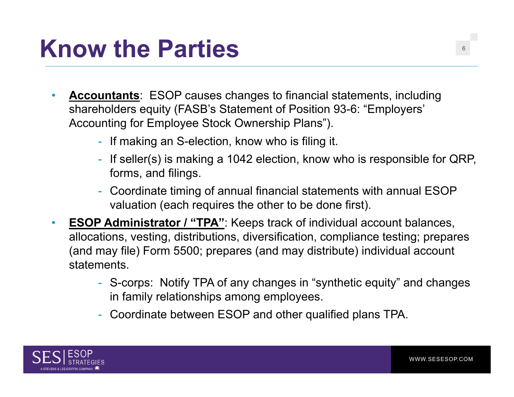#### **Know the Parties** $\mathbf S$

- $\bullet$  **Accountants**: ESOP causes changes to financial statements, including shareholders equity (FASB's Statement of Position 93-6: "Employers' Accounting for Employee Stock Ownership Plans").
	- If making an S-election, know who is filing it.
	- If seller(s) is making a 1042 election, know who is responsible for QRP, forms, and filings.
	- Coordinate timing of annual financial statements with annual ESOP valuation (each requires the other to be done first).
- $\bullet$ **ESOP Administrator / "TPA":** Keeps track of individual account balances, allocations, vesting, distributions, diversification, compliance testing; prepares (and may file) Form 5500; prepares (and may distribute) individual account statements.
	- S-corps: Notify TPA of any changes in "synthetic equity" and changes in family relationships among employees.
	- Coordinate between ESOP and other qualified plans TPA.

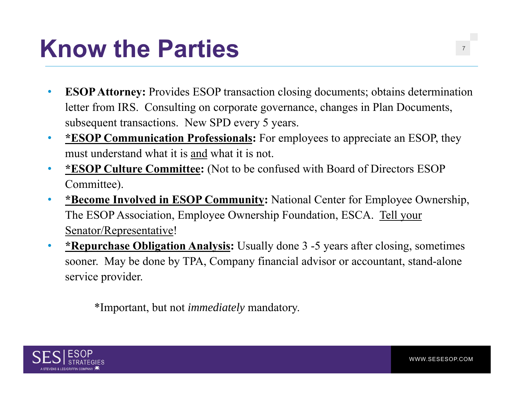### **Know the Parties** $\mathbf S$  , the contract of  $\mathbf S$  , the contract of  $\mathbf S$

- $\bullet$ **ESOP Attorney:** Provides ESOP transaction closing documents; obtains determination letter from IRS. Consulting on corporate governance, changes in Plan Documents, subsequent transactions. New SPD every 5 years.
- $\bullet$  **\*ESOP Communication Professionals:** For employees to appreciate an ESOP, they must understand what it is and what it is not.
- $\bullet$  **\*ESOP Culture Committee:** (Not to be confused with Board of Directors ESOP Committee).
- • **\*Become Involved in ESOP Community:** National Center for Employee Ownership, The ESOP Association, Employee Ownership Foundation, ESCA. Tell your Senator/Representative!
- • **\*Repurchase Obligation Analysis:** Usually done 3 -5 years after closing, sometimes sooner. May be done by TPA, Company financial advisor or accountant, stand-alone service provider.

\*Important, but not *immediately* mandatory.

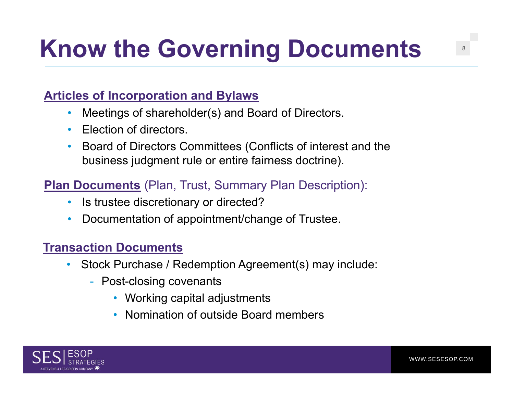### **Articles of Incorporation and Bylaws**

- •Meetings of shareholder(s) and Board of Directors.
- •Election of directors.
- • Board of Directors Committees (Conflicts of interest and the business judgment rule or entire fairness doctrine).

### **Plan Documents** (Plan, Trust, Summary Plan Description):

- •Is trustee discretionary or directed?
- •Documentation of appointment/change of Trustee.

#### **Transaction Documents**

- $\bullet$  Stock Purchase / Redemption Agreement(s) may include:
	- Post-closing covenants
		- Working capital adjustments
		- •Nomination of outside Board members

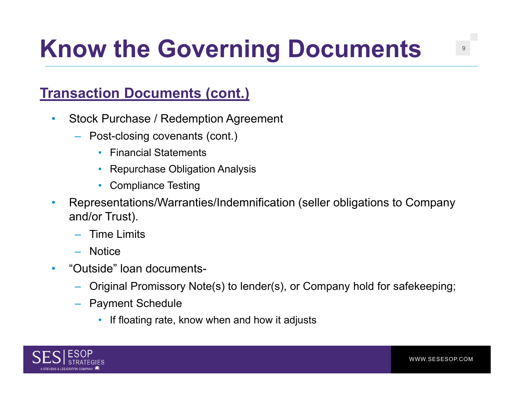### **Transaction Documents (cont.)**

- $\bullet$  Stock Purchase / Redemption Agreement
	- Post-closing covenants (cont.)
		- Financial Statements
		- •Repurchase Obligation Analysis
		- Compliance Testing
- • Representations/Warranties/Indemnification (seller obligations to Company and/or Trust).
	- Time Limits
	- Notice
- $\bullet$  "Outside" loan documents-
	- Original Promissory Note(s) to lender(s), or Company hold for safekeeping;
	- Payment Schedule
		- If floating rate, know when and how it adjusts

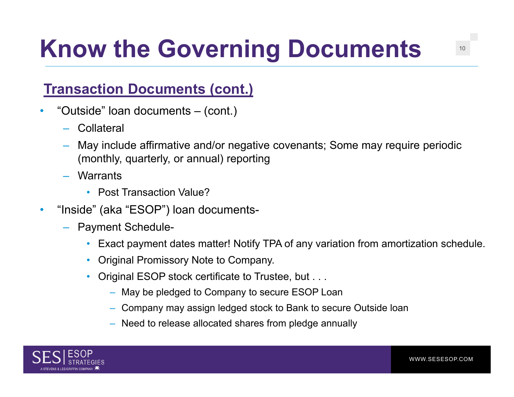## **Transaction Documents (cont.)**

- • "Outside" loan documents – (cont.)
	- Collateral
	- May include affirmative and/or negative covenants; Some may require periodic (monthly, quarterly, or annual) reporting
	- Warrants
		- Post Transaction Value?
- • "Inside" (aka "ESOP") loan documents-
	- Payment Schedule-
		- •Exact payment dates matter! Notify TPA of any variation from amortization schedule.
		- Original Promissory Note to Company.
		- • Original ESOP stock certificate to Trustee, but . . .
			- May be pledged to Company to secure ESOP Loan
			- Company may assign ledged stock to Bank to secure Outside loan
			- Need to release allocated shares from pledge annually



WWW.SESESOP.COM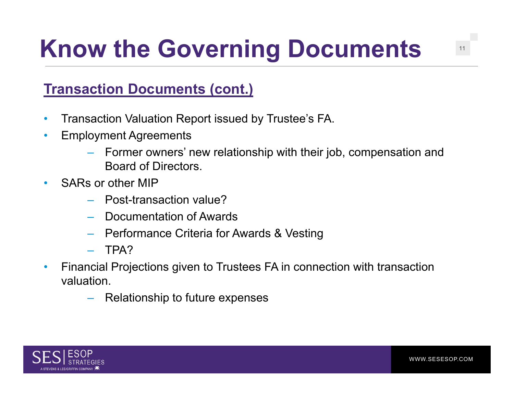## **Transaction Documents (cont.)**

- $\bullet$ Transaction Valuation Report issued by Trustee's FA.
- $\bullet$  Employment Agreements
	- Former owners' new relationship with their job, compensation and Board of Directors.
- $\bullet$  SARs or other MIP
	- Post-transaction value?
	- Documentation of Awards
	- Performance Criteria for Awards & Vesting
	- TPA?
- $\bullet$  Financial Projections given to Trustees FA in connection with transaction valuation.
	- Relationship to future expenses

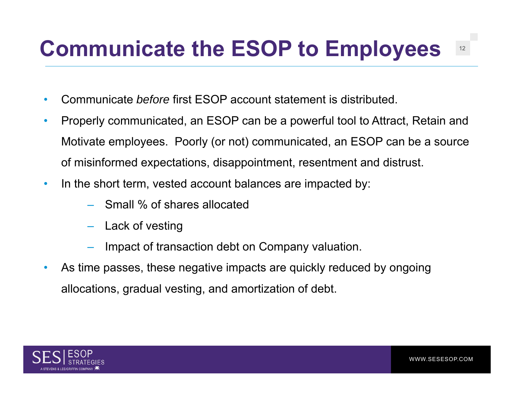## **Communicate the ESOP to Employees** <sup>12</sup>

- $\bullet$ Communicate *before* first ESOP account statement is distributed.
- • Properly communicated, an ESOP can be a powerful tool to Attract, Retain and Motivate employees. Poorly (or not) communicated, an ESOP can be a source of misinformed expectations, disappointment, resentment and distrust.
- $\bullet$ In the short term, vested account balances are impacted by:
	- Small % of shares allocated
	- Lack of vesting
	- Impact of transaction debt on Company valuation.
- $\bullet$  As time passes, these negative impacts are quickly reduced by ongoing allocations, gradual vesting, and amortization of debt.

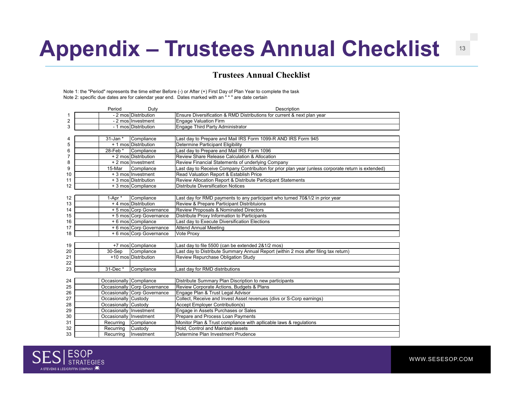## **Appendix – Trustees Annual Checklist** <sup>13</sup>

#### **Trustees Annual Checklist**

Note 1: the "Period" represents the time either Before (-) or After (+) First Day of Plan Year to complete the task Note 2: specific due dates are for calendar year end. Dates marked with an " \* " are date certain

|    | Period                  | Duty                         | Description                                                                                        |
|----|-------------------------|------------------------------|----------------------------------------------------------------------------------------------------|
|    |                         | - 2 mos Distribution         | Ensure Diversification & RMD Distributions for current & next plan year                            |
| 2  |                         | - 2 mos Investment           | <b>Engage Valuation Firm</b>                                                                       |
| 3  |                         | - 1 mos Distribution         | Engage Third Party Administrator                                                                   |
|    |                         |                              |                                                                                                    |
| 4  | $31$ -Jan $*$           | Compliance                   | Last day to Prepare and Mail IRS Form 1099-R AND IRS Form 945                                      |
| 5  |                         | + 1 mos Distribution         | Determine Participant Eligibility                                                                  |
| 6  | 28-Feb*                 | Compliance                   | Last day to Prepare and Mail IRS Form 1096                                                         |
| 7  |                         | + 2 mos Distribution         | Review Share Release Calculation & Allocation                                                      |
| 8  |                         | + 2 mos Investment           | Review Financial Statements of underlying Company                                                  |
| 9  | 15-Mar                  | Compliance                   | Last day to Receive Company Contribuiton for prior plan year (unless corporate return is extended) |
| 10 |                         | + 3 mos Investment           | Read Valuation Report & Establish Price                                                            |
| 11 |                         | + 3 mos Distribution         | Review Allocation Report & Distribute Participant Statements                                       |
| 12 |                         | + 3 mos Compliance           | <b>Distribute Diversification Notices</b>                                                          |
|    |                         |                              |                                                                                                    |
| 12 | 1-Apr *                 | Compliance                   | Last day for RMD payments to any participant who turned 70&1/2 in prior year                       |
| 13 |                         | + 4 mos Distribution         | Review & Prepare Participant Distribtuions                                                         |
| 14 |                         | + 5 mos Corp Governance      | Review Proposals & Nominated Directors                                                             |
| 15 |                         | + 5 mos Corp Governance      | Distribute Proxy Information to Participants                                                       |
| 16 |                         | + 6 mos Compliance           | Last day to Execute Diversification Elections                                                      |
| 17 |                         | + 6 mos Corp Governance      | <b>Attend Annual Meeting</b>                                                                       |
| 18 |                         | + 6 mos Corp Governance      | Vote Proxy                                                                                         |
|    |                         |                              |                                                                                                    |
| 19 |                         | +7 mos Compliance            | Last day to file 5500 (can be extended 2&1/2 mos)                                                  |
| 20 | 30-Sep                  | Compliance                   | Last day to Distribute Summary Annual Report (within 2 mos after filing tax return)                |
| 21 |                         | +10 moslDistribution         | Review Repurchase Obligation Study                                                                 |
| 22 |                         |                              |                                                                                                    |
| 23 | 31-Dec*                 | Compliance                   | Last day for RMD distributions                                                                     |
|    |                         |                              |                                                                                                    |
| 24 | Occasionally Compliance |                              | Distribute Summary Plan Discription to new participants                                            |
| 25 |                         | Occasionally Corp Governance | Review Corporate Actions, Budgets & Plans                                                          |
| 26 |                         | Occasionally Corp Governance | Engage Plan & Trust Legal Advisor                                                                  |
| 27 | Occasionally Custody    |                              | Collect, Receive and Invest Asset revenues (divs or S-Corp earnings)                               |
| 28 | Occasionally Custody    |                              | <b>Accept Employer Contribution(s)</b>                                                             |
| 29 | Occasionally Investment |                              | Engage in Assets Purchases or Sales                                                                |
| 30 | Occasionally Investment |                              | Prepare and Process Loan Payments                                                                  |
| 31 | Recurring               | Compliance                   | Monitor Plan & Trust compliance with apllicable laws & regulations                                 |
| 32 | Recurring               | Custody                      | Hold, Control and Maintain assets                                                                  |
| 33 | Recurring               | Investment                   | Determine Plan Investment Prudence                                                                 |



WWW.SESESOP.COM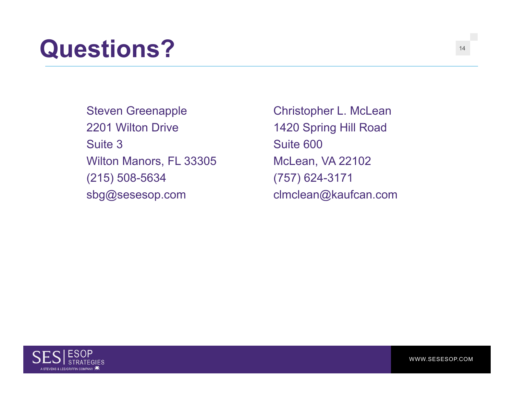## **Questions?** <sup>14</sup>

Steven Greenapple 2201 Wilton Drive Suite 3Wilton Manors, FL 33305 (215) 508-5634 sbg@sesesop.com

Christopher L. McLean 1420 Spring Hill Road Suite 600McLean, VA 22102 (757) 624-3171 clmclean@kaufcan.com